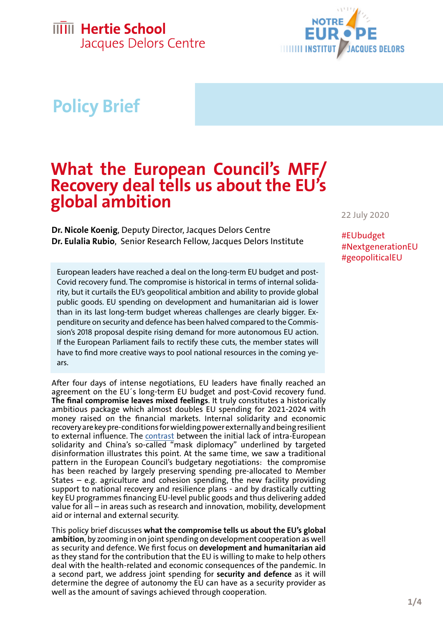### **IIIII** Hertie School Jacques Delors Centre



# **Policy Brief**

# **What the European Council's MFF/ Recovery deal tells us about the EU's global ambition**

**Dr. Nicole Koenig**, Deputy Director, Jacques Delors Centre **Dr. Eulalia Rubio**, Senior Research Fellow, Jacques Delors Institute

European leaders have reached a deal on the long-term EU budget and post-Covid recovery fund. The compromise is historical in terms of internal solidarity, but it curtails the EU's geopolitical ambition and ability to provide global public goods. EU spending on development and humanitarian aid is lower than in its last long-term budget whereas challenges are clearly bigger. Expenditure on security and defence has been halved compared to the Commission's 2018 proposal despite rising demand for more autonomous EU action. If the European Parliament fails to rectify these cuts, the member states will have to find more creative ways to pool national resources in the coming years.

After four days of intense negotiations, EU leaders have finally reached an agreement on the EU´s long-term EU budget and post-Covid recovery fund. **The final compromise leaves mixed feelings**. It truly constitutes a historically ambitious package which almost doubles EU spending for 2021-2024 with money raised on the financial markets. Internal solidarity and economic recovery are key pre-conditions for wielding power externally and being resilient to external influence. The [contrast](https://hertieschool-f4e6.kxcdn.com/fileadmin/20200424_EU_Solidarity_Koenig_Stahl.pdf) between the initial lack of intra-European solidarity and China's so-called "mask diplomacy" underlined by targeted disinformation illustrates this point. At the same time, we saw a traditional pattern in the European Council's budgetary negotiations: the compromise has been reached by largely preserving spending pre-allocated to Member States – e.g. agriculture and cohesion spending, the new facility providing support to national recovery and resilience plans - and by drastically cutting key EU programmes financing EU-level public goods and thus delivering added value for all – in areas such as research and innovation, mobility, development aid or internal and external security.

This policy brief discusses **what the compromise tells us about the EU's global ambition**, by zooming in on joint spending on development cooperation as well as security and defence. We first focus on **development and humanitarian aid**  as they stand for the contribution that the EU is willing to make to help others deal with the health-related and economic consequences of the pandemic. In a second part, we address joint spending for **security and defence** as it will determine the degree of autonomy the EU can have as a security provider as well as the amount of savings achieved through cooperation.

22 July 2020

#EUbudget #NextgenerationEU #geopoliticalEU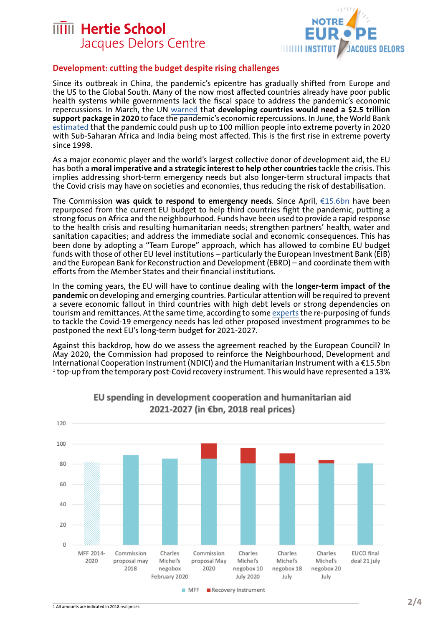## **IIIII** Hertie School Jacques Delors Centre



#### **Development: cutting the budget despite rising challenges**

Since its outbreak in China, the pandemic's epicentre has gradually shifted from Europe and the US to the Global South. Many of the now most affected countries already have poor public health systems while governments lack the fiscal space to address the pandemic's economic repercussions. In March, the UN [warned](https://unctad.org/en/PublicationsLibrary/gds_tdr2019_covid2_en.pdf) that **developing countries would need a \$2.5 trillion support package in 2020** to face the pandemic's economic repercussions. In June, the World Bank [estimated](https://www.worldbank.org/en/topic/poverty/brief/projected-poverty-impacts-of-COVID-19) that the pandemic could push up to 100 million people into extreme poverty in 2020 with Sub-Saharan Africa and India being most affected. This is the first rise in extreme poverty since 1998.

As a major economic player and the world's largest collective donor of development aid, the EU has both a **moral imperative and a strategic interest to help other countries** tackle the crisis. This implies addressing short-term emergency needs but also longer-term structural impacts that the Covid crisis may have on societies and economies, thus reducing the risk of destabilisation.

The Commission **was quick to respond to emergency needs**. Since April, [€15.6bn](https://ec.europa.eu/info/sites/info/files/joint_communication_global_eu_covid-19_response_en.pdf) have been repurposed from the current EU budget to help third countries fight the pandemic, putting a strong focus on Africa and the neighbourhood. Funds have been used to provide a rapid response to the health crisis and resulting humanitarian needs; strengthen partners' health, water and sanitation capacities; and address the immediate social and economic consequences. This has been done by adopting a "Team Europe" approach, which has allowed to combine EU budget funds with those of other EU level institutions – particularly the European Investment Bank (EIB) and the European Bank for Reconstruction and Development (EBRD) – and coordinate them with efforts from the Member States and their financial institutions.

In the coming years, the EU will have to continue dealing with the **longer-term impact of the pandemic** on developing and emerging countries. Particular attention will be required to prevent a severe economic fallout in third countries with high debt levels or strong dependencies on tourism and remittances. At the same time, according to some [experts](https://ecdpm.org/wp-content/uploads/Towards-EU-Global-COVID-19-Response-2.0-Boosting-Smarter-Finance-ECDPM-Discussion-Paper-273-June-2020.pdf) the re-purposing of funds to tackle the Covid-19 emergency needs has led other proposed investment programmes to be postponed the next EU's long-term budget for 2021-2027.

Against this backdrop, how do we assess the agreement reached by the European Council? In May 2020, the Commission had proposed to reinforce the Neighbourhood, Development and International Cooperation Instrument (NDICI) and the Humanitarian Instrument with a €15.5bn  $^{\rm 1}$ top-up from the temporary post-Covid recovery instrument. This would have represented a 13%



#### EU spending in development cooperation and humanitarian aid 2021-2027 (in €bn, 2018 real prices)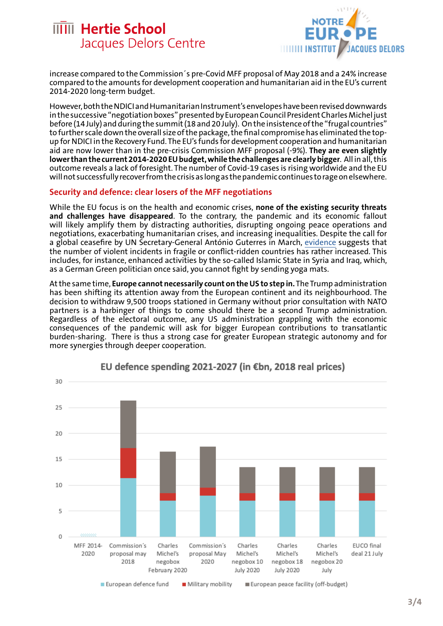



increase compared to the Commission´s pre-Covid MFF proposal of May 2018 and a 24% increase compared to the amounts for development cooperation and humanitarian aid in the EU's current 2014-2020 long-term budget.

However, both the NDICI and Humanitarian Instrument's envelopes have been revised downwards in the successive "negotiation boxes" presented by European Council President Charles Michel just before (14 July) and during the summit (18 and 20 July). On the insistence of the "frugal countries" to further scale down the overall size of the package, the final compromise has eliminated the topup for NDICI in the Recovery Fund. The EU's funds for development cooperation and humanitarian aid are now lower than in the pre-crisis Commission MFF proposal (-9%). **They are even slightly lower than the current 2014-2020 EU budget, while the challenges are clearly bigger**. All in all, this outcome reveals a lack of foresight. The number of Covid-19 cases is rising worldwide and the EU will not successfully recover from the crisis as long as the pandemic continues to rage on elsewhere.

#### **Security and defence: clear losers of the MFF negotiations**

While the EU focus is on the health and economic crises, **none of the existing security threats and challenges have disappeared**. To the contrary, the pandemic and its economic fallout will likely amplify them by distracting authorities, disrupting ongoing peace operations and negotiations, exacerbating humanitarian crises, and increasing inequalities. Despite the call for a global ceasefire by UN Secretary-General António Guterres in March, [evidence](https://www.iss.europa.eu/content/bad-worse-impacts-covid-19-conflict-dynamics) suggests that the number of violent incidents in fragile or conflict-ridden countries has rather increased. This includes, for instance, enhanced activities by the so-called Islamic State in Syria and Iraq, which, as a German Green politician once said, you cannot fight by sending yoga mats.

At the same time, **Europe cannot necessarily count on the US to step in.** The Trump administration has been shifting its attention away from the European continent and its neighbourhood. The decision to withdraw 9,500 troops stationed in Germany without prior consultation with NATO partners is a harbinger of things to come should there be a second Trump administration. Regardless of the electoral outcome, any US administration grappling with the economic consequences of the pandemic will ask for bigger European contributions to transatlantic burden-sharing. There is thus a strong case for greater European strategic autonomy and for more synergies through deeper cooperation.



#### EU defence spending 2021-2027 (in €bn, 2018 real prices)